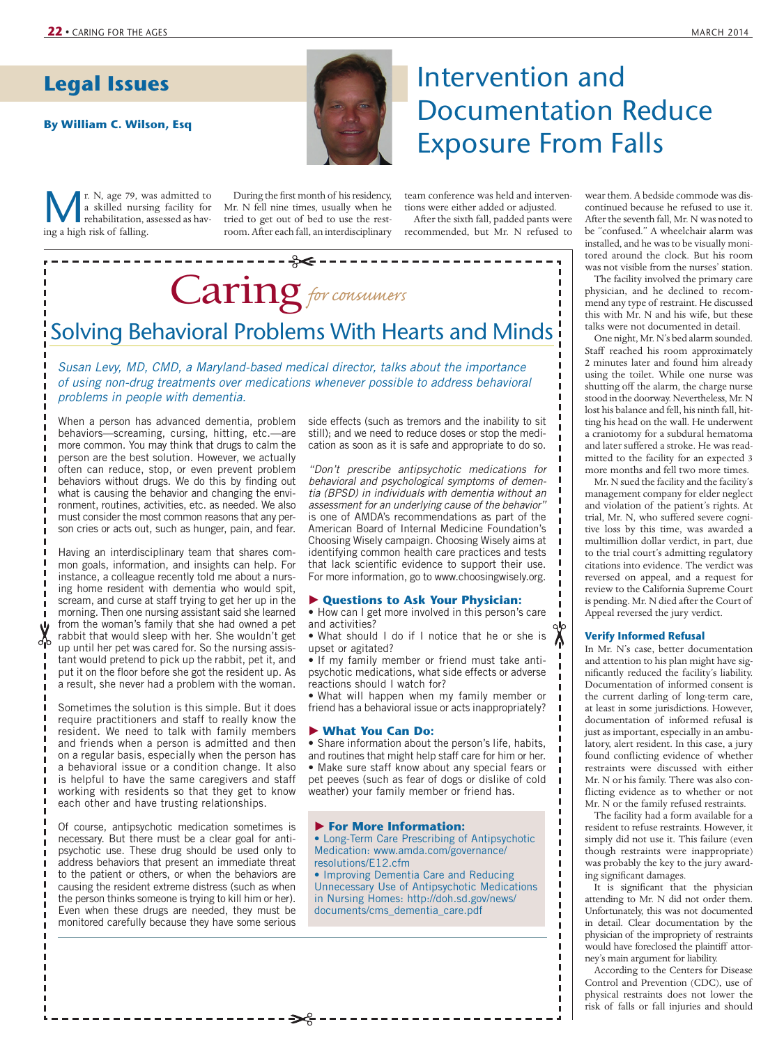### **Legal Issues**

#### **By William C. Wilson, Esq**



## Intervention and Documentation Reduce Exposure From Falls

**M** r. N, age 79, was admitted to<br>a skilled nursing facility for<br>rehabilitation, assessed as hav-<br>ing a high risk of falling a skilled nursing facility for rehabilitation, assessed as having a high risk of falling.

During the first month of his residency, Mr. N fell nine times, usually when he tried to get out of bed to use the restroom. After each fall, an interdisciplinary

team conference was held and interventions were either added or adjusted. After the sixth fall, padded pants were recommended, but Mr. N refused to

# Caring for consumers

Solving Behavioral Problems With Hearts and Minds

 Susan Levy, MD, CMD, a Maryland-based medical director, talks about the importance of using non-drug treatments over medications whenever possible to address behavioral problems in people with dementia.

When a person has advanced dementia, problem behaviors—screaming, cursing, hitting, etc.—are more common. You may think that drugs to calm the person are the best solution. However, we actually often can reduce, stop, or even prevent problem behaviors without drugs. We do this by finding out what is causing the behavior and changing the environment, routines, activities, etc. as needed. We also must consider the most common reasons that any person cries or acts out, such as hunger, pain, and fear.

Having an interdisciplinary team that shares common goals, information, and insights can help. For instance, a colleague recently told me about a nursing home resident with dementia who would spit, scream, and curse at staff trying to get her up in the morning. Then one nursing assistant said she learned from the woman's family that she had owned a pet rabbit that would sleep with her. She wouldn't get up until her pet was cared for. So the nursing assistant would pretend to pick up the rabbit, pet it, and put it on the floor before she got the resident up. As a result, she never had a problem with the woman.

Sometimes the solution is this simple. But it does require practitioners and staff to really know the resident. We need to talk with family members and friends when a person is admitted and then on a regular basis, especially when the person has a behavioral issue or a condition change. It also is helpful to have the same caregivers and staff working with residents so that they get to know each other and have trusting relationships.

Of course, antipsychotic medication sometimes is necessary. But there must be a clear goal for antipsychotic use. These drug should be used only to address behaviors that present an immediate threat to the patient or others, or when the behaviors are causing the resident extreme distress (such as when the person thinks someone is trying to kill him or her). Even when these drugs are needed, they must be monitored carefully because they have some serious

. . . . . . . . . . . . . . .

side effects (such as tremors and the inability to sit still); and we need to reduce doses or stop the medication as soon as it is safe and appropriate to do so.

"Don't prescribe antipsychotic medications for behavioral and psychological symptoms of dementia (BPSD) in individuals with dementia without an assessment for an underlying cause of the behavior" is one of AMDA's recommendations as part of the American Board of Internal Medicine Foundation's Choosing Wisely campaign. Choosing Wisely aims at identifying common health care practices and tests that lack scientific evidence to support their use. For more information, go to www.choosingwisely.org.

#### ▶ **Questions to Ask Your Physician:**

• How can I get more involved in this person's care and activities?

• What should I do if I notice that he or she is upset or agitated?

• If my family member or friend must take antipsychotic medications, what side effects or adverse reactions should I watch for?

• What will happen when my family member or friend has a behavioral issue or acts inappropriately?

#### ▶ **What You Can Do:**

• Share information about the person's life, habits, and routines that might help staff care for him or her. • Make sure staff know about any special fears or pet peeves (such as fear of dogs or dislike of cold weather) your family member or friend has.

#### ▶ **For More Information:**

⇛

• Long-Term Care Prescribing of Antipsychotic Medication: www.amda.com/governance/ resolutions/E12.cfm

• Improving Dementia Care and Reducing Unnecessary Use of Antipsychotic Medications in Nursing Homes: http://doh.sd.gov/news/ documents/cms\_dementia\_care.pdf

wear them. A bedside commode was discontinued because he refused to use it. After the seventh fall, Mr. N was noted to be "confused." A wheelchair alarm was installed, and he was to be visually monitored around the clock. But his room was not visible from the nurses' station.

The facility involved the primary care physician, and he declined to recommend any type of restraint. He discussed this with Mr. N and his wife, but these talks were not documented in detail.

One night, Mr. N's bed alarm sounded. Staff reached his room approximately 2 minutes later and found him already using the toilet. While one nurse was shutting off the alarm, the charge nurse stood in the doorway. Nevertheless, Mr. N lost his balance and fell, his ninth fall, hitting his head on the wall. He underwent a craniotomy for a subdural hematoma and later suffered a stroke. He was readmitted to the facility for an expected 3 more months and fell two more times.

Mr. N sued the facility and the facility's management company for elder neglect and violation of the patient's rights. At trial, Mr. N, who suffered severe cognitive loss by this time, was awarded a multimillion dollar verdict, in part, due to the trial court's admitting regulatory citations into evidence. The verdict was reversed on appeal, and a request for review to the California Supreme Court is pending. Mr. N died after the Court of Appeal reversed the jury verdict.

#### **Verify Informed Refusal**

In Mr. N's case, better documentation and attention to his plan might have significantly reduced the facility's liability. Documentation of informed consent is the current darling of long-term care, at least in some jurisdictions. However, documentation of informed refusal is just as important, especially in an ambulatory, alert resident. In this case, a jury found conflicting evidence of whether restraints were discussed with either Mr. N or his family. There was also conflicting evidence as to whether or not Mr. N or the family refused restraints.

The facility had a form available for a resident to refuse restraints. However, it simply did not use it. This failure (even though restraints were inappropriate) was probably the key to the jury awarding significant damages.

It is significant that the physician attending to Mr. N did not order them. Unfortunately, this was not documented in detail. Clear documentation by the physician of the impropriety of restraints would have foreclosed the plaintiff attorney's main argument for liability.

 $\blacksquare$ 

According to the Centers for Disease Control and Prevention (CDC), use of physical restraints does not lower the risk of falls or fall injuries and should